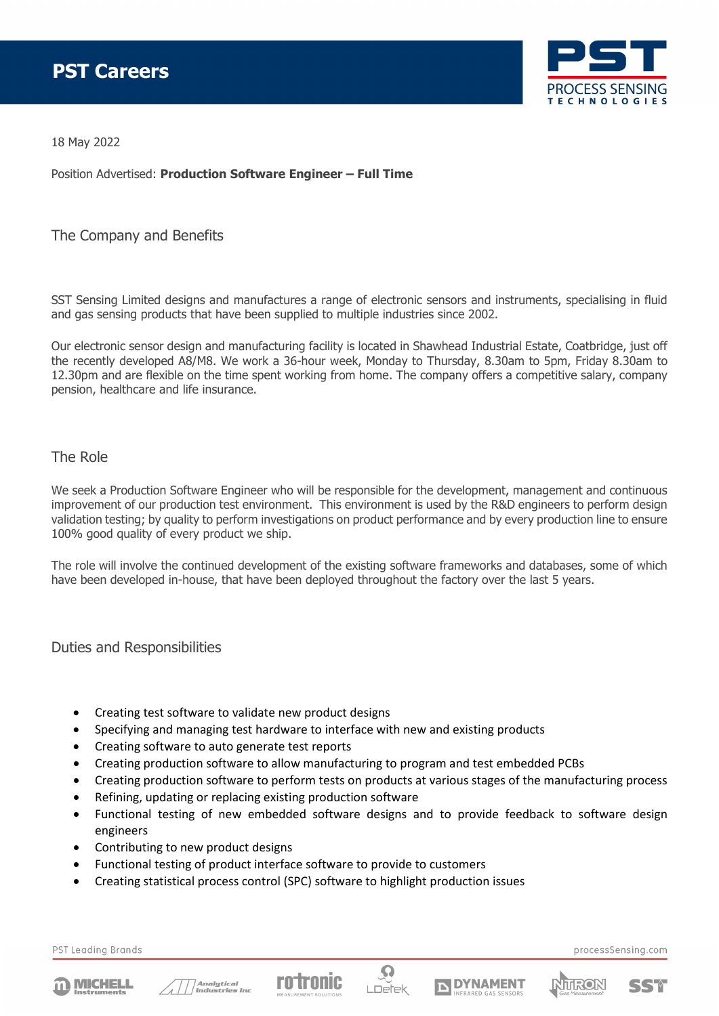

18 May 2022

Position Advertised: **Production Software Engineer – Full Time**

## The Company and Benefits

SST Sensing Limited designs and manufactures a range of electronic sensors and instruments, specialising in fluid and gas sensing products that have been supplied to multiple industries since 2002.

Our electronic sensor design and manufacturing facility is located in Shawhead Industrial Estate, Coatbridge, just off the recently developed A8/M8. We work a 36-hour week, Monday to Thursday, 8.30am to 5pm, Friday 8.30am to 12.30pm and are flexible on the time spent working from home. The company offers a competitive salary, company pension, healthcare and life insurance.

## The Role

We seek a Production Software Engineer who will be responsible for the development, management and continuous improvement of our production test environment. This environment is used by the R&D engineers to perform design validation testing; by quality to perform investigations on product performance and by every production line to ensure 100% good quality of every product we ship.

The role will involve the continued development of the existing software frameworks and databases, some of which have been developed in-house, that have been deployed throughout the factory over the last 5 years.

Duties and Responsibilities

- Creating test software to validate new product designs
- Specifying and managing test hardware to interface with new and existing products
- Creating software to auto generate test reports
- Creating production software to allow manufacturing to program and test embedded PCBs
- Creating production software to perform tests on products at various stages of the manufacturing process
- Refining, updating or replacing existing production software
- Functional testing of new embedded software designs and to provide feedback to software design engineers
- Contributing to new product designs
- Functional testing of product interface software to provide to customers
- Creating statistical process control (SPC) software to highlight production issues

PST Leading Brands









processSensing.com



SSM